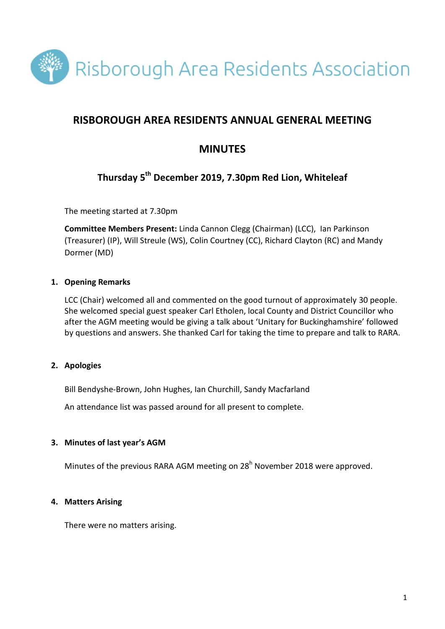

# **RISBOROUGH AREA RESIDENTS ANNUAL GENERAL MEETING**

# **MINUTES**

# **Thursday 5th December 2019, 7.30pm Red Lion, Whiteleaf**

The meeting started at 7.30pm

**Committee Members Present:** Linda Cannon Clegg (Chairman) (LCC), Ian Parkinson (Treasurer) (IP), Will Streule (WS), Colin Courtney (CC), Richard Clayton (RC) and Mandy Dormer (MD)

## **1. Opening Remarks**

LCC (Chair) welcomed all and commented on the good turnout of approximately 30 people. She welcomed special guest speaker Carl Etholen, local County and District Councillor who after the AGM meeting would be giving a talk about 'Unitary for Buckinghamshire' followed by questions and answers. She thanked Carl for taking the time to prepare and talk to RARA.

#### **2. Apologies**

Bill Bendyshe-Brown, John Hughes, Ian Churchill, Sandy Macfarland

An attendance list was passed around for all present to complete.

#### **3. Minutes of last year's AGM**

Minutes of the previous RARA AGM meeting on 28<sup>h</sup> November 2018 were approved.

#### **4. Matters Arising**

There were no matters arising.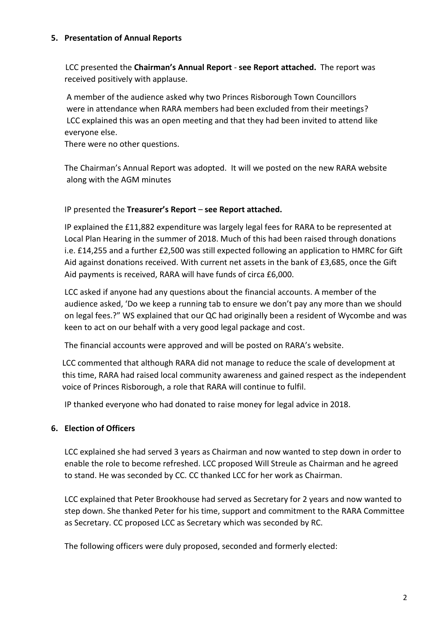#### **5. Presentation of Annual Reports**

LCC presented the **Chairman's Annual Report** - **see Report attached.** The report was received positively with applause.

A member of the audience asked why two Princes Risborough Town Councillors were in attendance when RARA members had been excluded from their meetings? LCC explained this was an open meeting and that they had been invited to attend like everyone else.

There were no other questions.

The Chairman's Annual Report was adopted. It will we posted on the new RARA website along with the AGM minutes

#### IP presented the **Treasurer's Report** – **see Report attached.**

IP explained the £11,882 expenditure was largely legal fees for RARA to be represented at Local Plan Hearing in the summer of 2018. Much of this had been raised through donations i.e. £14,255 and a further £2,500 was still expected following an application to HMRC for Gift Aid against donations received. With current net assets in the bank of £3,685, once the Gift Aid payments is received, RARA will have funds of circa £6,000.

LCC asked if anyone had any questions about the financial accounts. A member of the audience asked, 'Do we keep a running tab to ensure we don't pay any more than we should on legal fees.?" WS explained that our QC had originally been a resident of Wycombe and was keen to act on our behalf with a very good legal package and cost.

The financial accounts were approved and will be posted on RARA's website.

LCC commented that although RARA did not manage to reduce the scale of development at this time, RARA had raised local community awareness and gained respect as the independent voice of Princes Risborough, a role that RARA will continue to fulfil.

IP thanked everyone who had donated to raise money for legal advice in 2018.

#### **6. Election of Officers**

LCC explained she had served 3 years as Chairman and now wanted to step down in order to enable the role to become refreshed. LCC proposed Will Streule as Chairman and he agreed to stand. He was seconded by CC. CC thanked LCC for her work as Chairman.

LCC explained that Peter Brookhouse had served as Secretary for 2 years and now wanted to step down. She thanked Peter for his time, support and commitment to the RARA Committee as Secretary. CC proposed LCC as Secretary which was seconded by RC.

The following officers were duly proposed, seconded and formerly elected: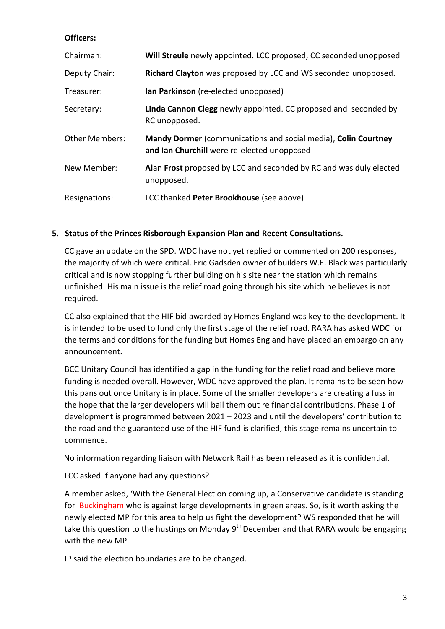#### **Officers:**

| Chairman:             | Will Streule newly appointed. LCC proposed, CC seconded unopposed                                             |
|-----------------------|---------------------------------------------------------------------------------------------------------------|
| Deputy Chair:         | Richard Clayton was proposed by LCC and WS seconded unopposed.                                                |
| Treasurer:            | <b>lan Parkinson</b> (re-elected unopposed)                                                                   |
| Secretary:            | Linda Cannon Clegg newly appointed. CC proposed and seconded by<br>RC unopposed.                              |
| <b>Other Members:</b> | Mandy Dormer (communications and social media), Colin Courtney<br>and Ian Churchill were re-elected unopposed |
| New Member:           | Alan Frost proposed by LCC and seconded by RC and was duly elected<br>unopposed.                              |
| Resignations:         | LCC thanked Peter Brookhouse (see above)                                                                      |

## **5. Status of the Princes Risborough Expansion Plan and Recent Consultations.**

CC gave an update on the SPD. WDC have not yet replied or commented on 200 responses, the majority of which were critical. Eric Gadsden owner of builders W.E. Black was particularly critical and is now stopping further building on his site near the station which remains unfinished. His main issue is the relief road going through his site which he believes is not required.

CC also explained that the HIF bid awarded by Homes England was key to the development. It is intended to be used to fund only the first stage of the relief road. RARA has asked WDC for the terms and conditions for the funding but Homes England have placed an embargo on any announcement.

BCC Unitary Council has identified a gap in the funding for the relief road and believe more funding is needed overall. However, WDC have approved the plan. It remains to be seen how this pans out once Unitary is in place. Some of the smaller developers are creating a fuss in the hope that the larger developers will bail them out re financial contributions. Phase 1 of development is programmed between 2021 – 2023 and until the developers' contribution to the road and the guaranteed use of the HIF fund is clarified, this stage remains uncertain to commence.

No information regarding liaison with Network Rail has been released as it is confidential.

#### LCC asked if anyone had any questions?

A member asked, 'With the General Election coming up, a Conservative candidate is standing for Buckingham who is against large developments in green areas. So, is it worth asking the newly elected MP for this area to help us fight the development? WS responded that he will take this question to the hustings on Monday 9<sup>th</sup> December and that RARA would be engaging with the new MP.

IP said the election boundaries are to be changed.